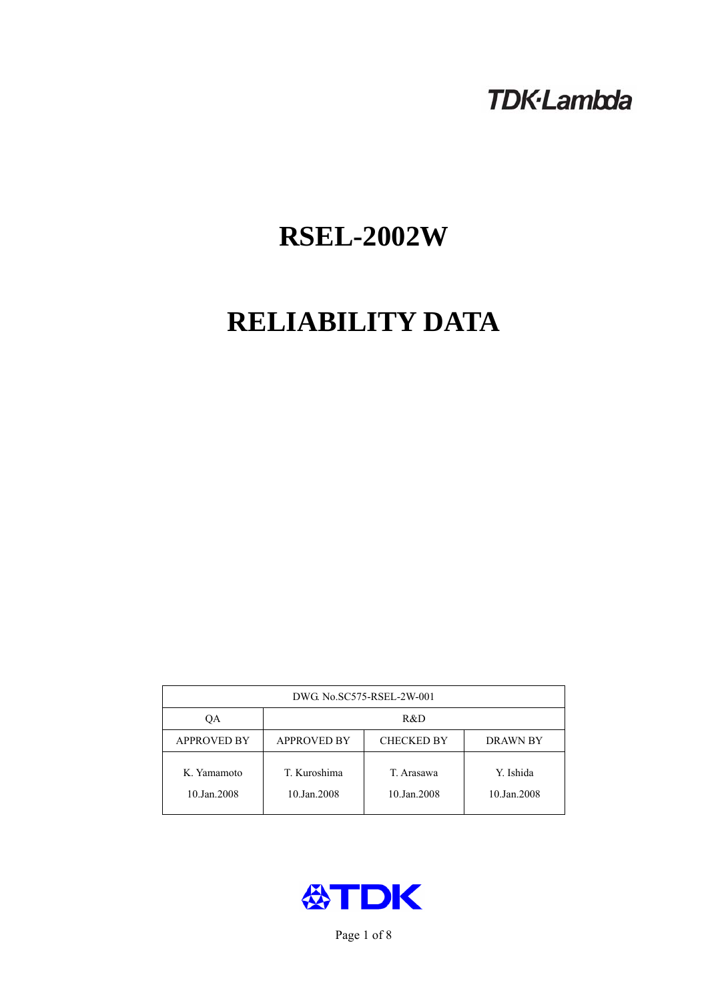# **TDK-Lambda**

# **RSEL-2002W**

# **RELIABILITY DATA**

| DWG. No.SC575-RSEL-2W-001  |                                                            |                           |                          |  |  |
|----------------------------|------------------------------------------------------------|---------------------------|--------------------------|--|--|
| ОA                         | R&D                                                        |                           |                          |  |  |
| <b>APPROVED BY</b>         | <b>APPROVED BY</b><br><b>CHECKED BY</b><br><b>DRAWN BY</b> |                           |                          |  |  |
| K. Yamamoto<br>10.Jan.2008 | T. Kuroshima<br>10.Jan.2008                                | T. Arasawa<br>10.Jan.2008 | Y. Ishida<br>10.Jan.2008 |  |  |



Page 1 of 8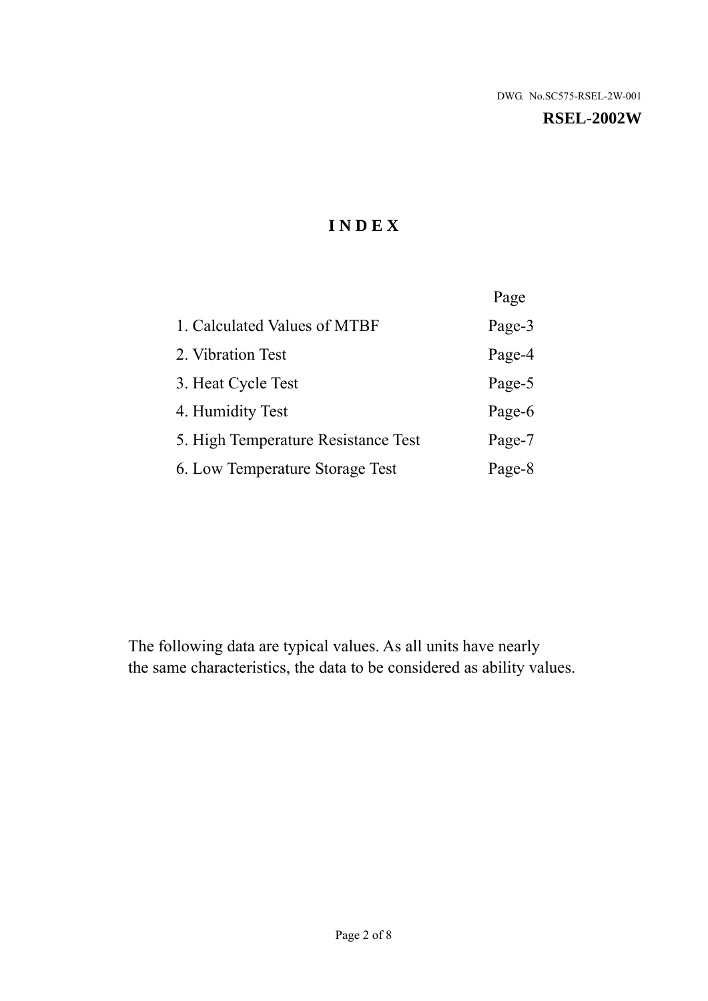#### **RSEL-2002W**

# **I N D E X**

|                                     | Page   |
|-------------------------------------|--------|
| 1. Calculated Values of MTBF        | Page-3 |
| 2. Vibration Test                   | Page-4 |
| 3. Heat Cycle Test                  | Page-5 |
| 4. Humidity Test                    | Page-6 |
| 5. High Temperature Resistance Test | Page-7 |
| 6. Low Temperature Storage Test     | Page-8 |

The following data are typical values. As all units have nearly the same characteristics, the data to be considered as ability values.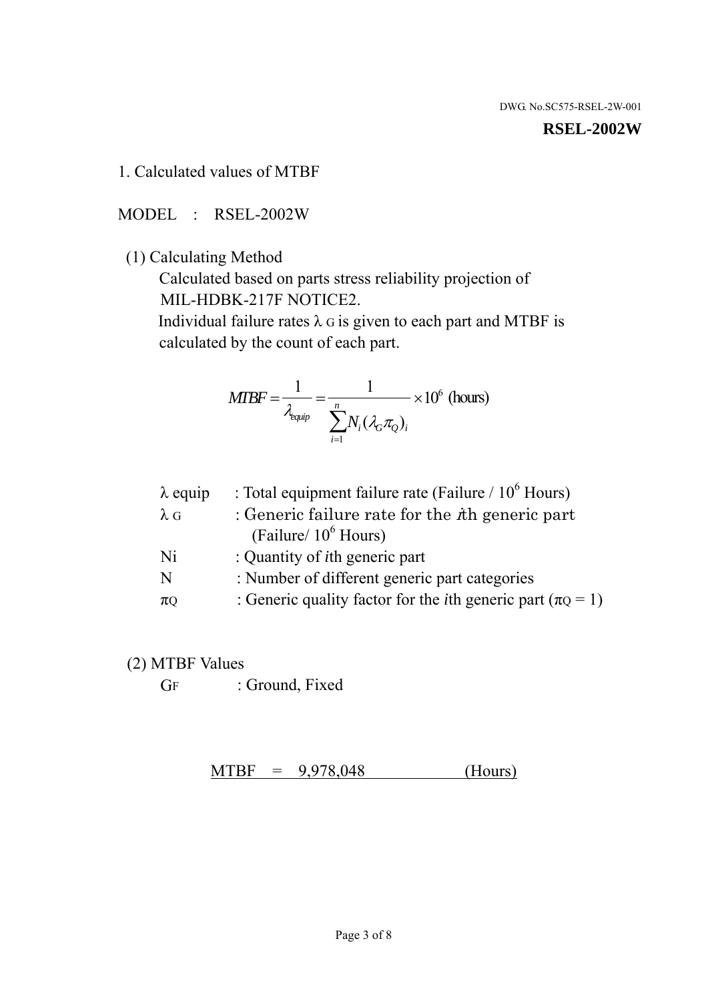#### **RSEL-2002W**

1. Calculated values of MTBF

MODEL : RSEL-2002W

(1) Calculating Method

 Calculated based on parts stress reliability projection of MIL-HDBK-217F NOTICE2.

Individual failure rates  $\lambda$  G is given to each part and MTBF is calculated by the count of each part.

$$
MIBF = \frac{1}{\lambda_{\text{equip}}} = \frac{1}{\sum_{i=1}^{n} N_i (\lambda_G \pi_Q)_i} \times 10^6 \text{ (hours)}
$$

| $\lambda$ equip | : Total equipment failure rate (Failure $/ 10^6$ Hours)                   |
|-----------------|---------------------------------------------------------------------------|
| $\lambda$ G     | : Generic failure rate for the $\hbar$ generic part                       |
|                 | (Failure/ $10^6$ Hours)                                                   |
| Ni              | : Quantity of <i>i</i> th generic part                                    |
| N               | : Number of different generic part categories                             |
| $\pi$ Q         | : Generic quality factor for the <i>i</i> th generic part ( $\pi Q = 1$ ) |

- (2) MTBF Values
	- GF : Ground, Fixed

 $MTBF = 9,978,048$  (Hours)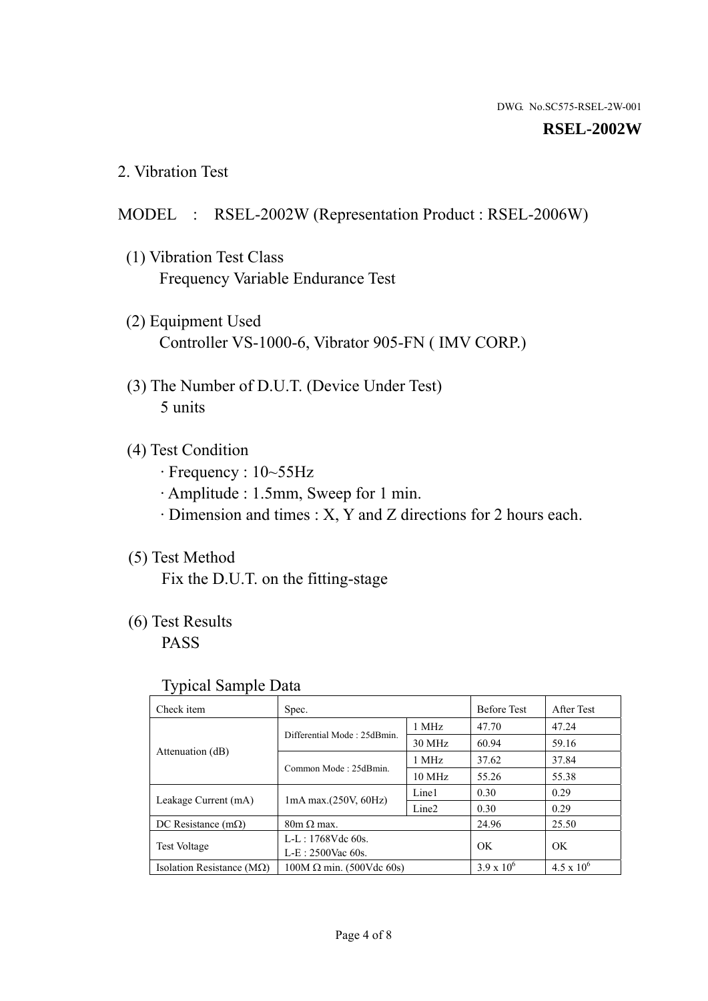#### **RSEL-2002W**

2. Vibration Test

### MODEL : RSEL-2002W (Representation Product : RSEL-2006W)

- (1) Vibration Test Class Frequency Variable Endurance Test
- (2) Equipment Used Controller VS-1000-6, Vibrator 905-FN ( IMV CORP.)
- (3) The Number of D.U.T. (Device Under Test) 5 units
- (4) Test Condition
	- · Frequency : 10~55Hz
	- · Amplitude : 1.5mm, Sweep for 1 min.
	- · Dimension and times : X, Y and Z directions for 2 hours each.

## (5) Test Method

Fix the D.U.T. on the fitting-stage

# (6) Test Results

PASS

#### Typical Sample Data

| . .                                |                                                         |                  |                     |                     |
|------------------------------------|---------------------------------------------------------|------------------|---------------------|---------------------|
| Check item                         | Spec.                                                   |                  | <b>Before Test</b>  | After Test          |
|                                    | Differential Mode: 25dBmin.                             | 1 MHz            | 47.70               | 47.24               |
|                                    |                                                         | 30 MHz           | 60.94               | 59.16               |
| Attenuation (dB)                   | Common Mode: 25dBmin.                                   | 1 MHz            | 37.62               | 37.84               |
|                                    |                                                         | $10 \text{ MHz}$ | 55.26               | 55.38               |
| Leakage Current (mA)               | Line1<br>$1mA$ max. $(250V, 60Hz)$<br>Line <sub>2</sub> |                  | 0.30                | 0.29                |
|                                    |                                                         | 0.30             | 0.29                |                     |
| DC Resistance $(m\Omega)$          | $80m \Omega$ max.                                       |                  | 24.96               | 25.50               |
| <b>Test Voltage</b>                | $L-L: 1768Vdc$ 60s.                                     |                  | OK                  | OK.                 |
|                                    | $L-E$ : 2500Vac 60s.                                    |                  |                     |                     |
| Isolation Resistance ( $M\Omega$ ) | $100M \Omega$ min. (500Vdc 60s)                         |                  | $3.9 \times 10^{6}$ | $4.5 \times 10^{6}$ |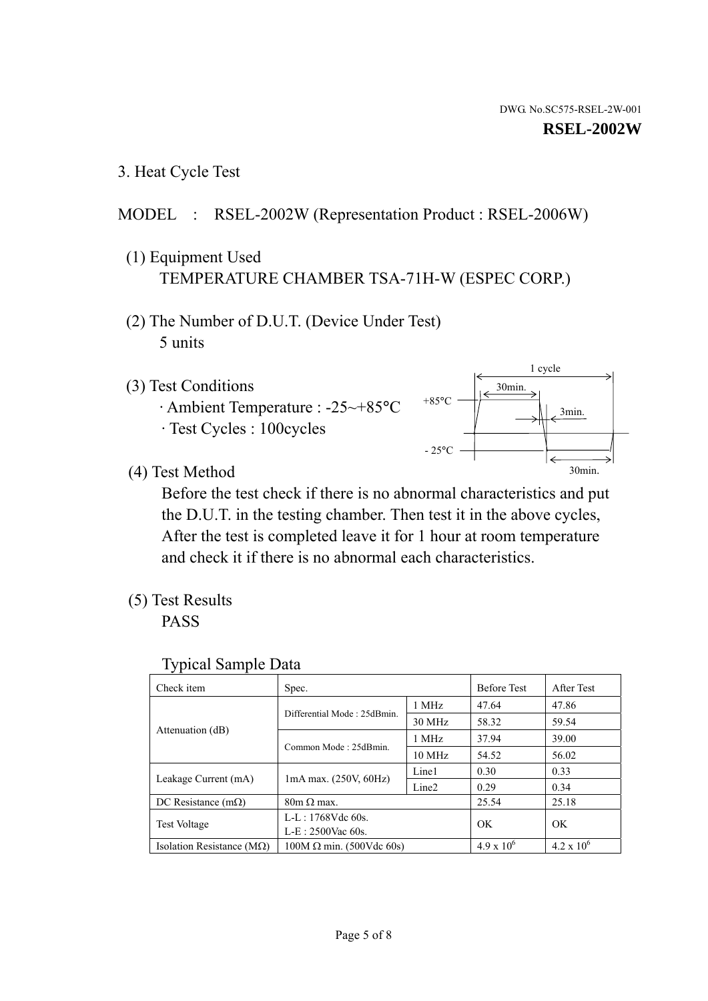1 cycle

30min.

3min.

30min.

3. Heat Cycle Test

# MODEL : RSEL-2002W (Representation Product : RSEL-2006W)

- (1) Equipment Used TEMPERATURE CHAMBER TSA-71H-W (ESPEC CORP.)
- (2) The Number of D.U.T. (Device Under Test) 5 units
- (3) Test Conditions
	- · Ambient Temperature : -25~+85°C · Test Cycles : 100cycles
- (4) Test Method

 Before the test check if there is no abnormal characteristics and put the D.U.T. in the testing chamber. Then test it in the above cycles, After the test is completed leave it for 1 hour at room temperature and check it if there is no abnormal each characteristics.

 $+85$ °C

 $-25^{\circ}$ C

(5) Test Results

PASS

| <b>Typical Sample Data</b> |  |  |
|----------------------------|--|--|
|----------------------------|--|--|

| Check item                    | Spec.                           |                   | <b>Before Test</b>  | After Test          |
|-------------------------------|---------------------------------|-------------------|---------------------|---------------------|
|                               | Differential Mode: 25dBmin.     | 1 MHz             | 47.64               | 47.86               |
|                               |                                 | 30 MHz            | 58.32               | 59.54               |
| Attenuation (dB)              | Common Mode: 25dBmin.           | 1 MHz             | 37.94               | 39.00               |
|                               |                                 | $10 \text{ MHz}$  | 54.52               | 56.02               |
| Leakage Current (mA)          | 1mA max. (250V, 60Hz)           | Line1             | 0.30                | 0.33                |
|                               |                                 | Line <sub>2</sub> | 0.29                | 0.34                |
| DC Resistance $(m\Omega)$     | $80m \Omega$ max.               |                   | 25.54               | 25.18               |
| <b>Test Voltage</b>           | $L-L: 1768Vdc$ 60s.             |                   | OK                  | OK.                 |
|                               | $L-E: 2500$ Vac 60s.            |                   |                     |                     |
| Isolation Resistance ( $MQ$ ) | $100M \Omega$ min. (500Vdc 60s) |                   | $4.9 \times 10^{6}$ | $4.2 \times 10^{6}$ |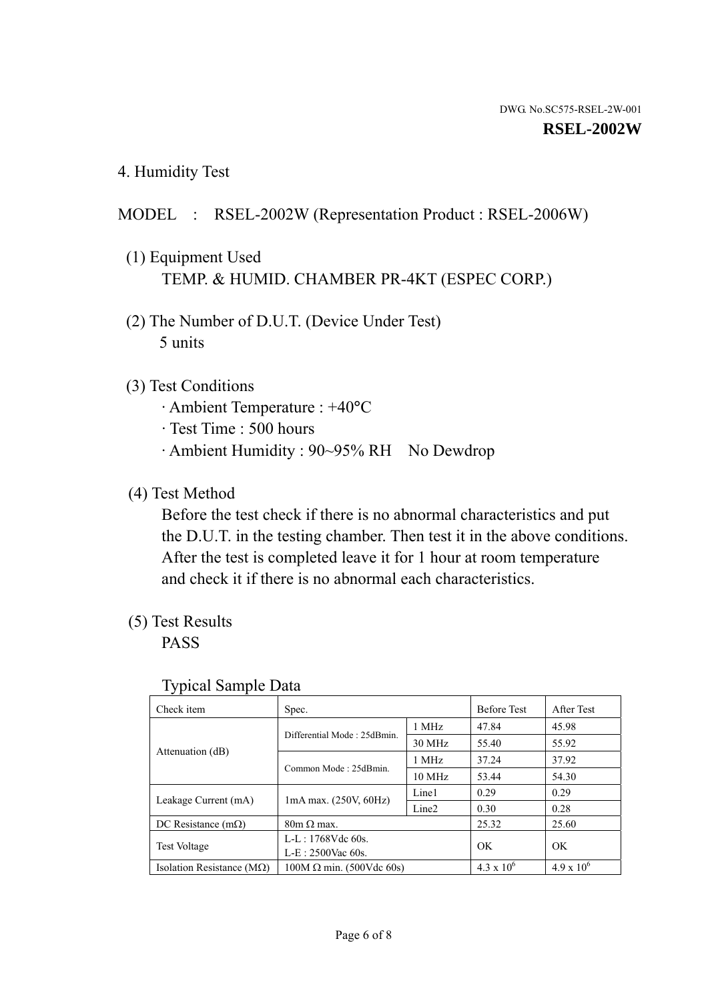4. Humidity Test

# MODEL : RSEL-2002W (Representation Product : RSEL-2006W)

- (1) Equipment Used TEMP. & HUMID. CHAMBER PR-4KT (ESPEC CORP.)
- (2) The Number of D.U.T. (Device Under Test) 5 units

## (3) Test Conditions

- · Ambient Temperature : +40°C
- · Test Time : 500 hours
- · Ambient Humidity : 90~95% RH No Dewdrop

# (4) Test Method

 Before the test check if there is no abnormal characteristics and put the D.U.T. in the testing chamber. Then test it in the above conditions. After the test is completed leave it for 1 hour at room temperature and check it if there is no abnormal each characteristics.

# (5) Test Results

PASS

| ╯┸                            |                                 |                   |                     |                     |
|-------------------------------|---------------------------------|-------------------|---------------------|---------------------|
| Check item                    | Spec.                           |                   | <b>Before Test</b>  | After Test          |
|                               | Differential Mode: 25dBmin.     | 1 MHz             | 47.84               | 45.98               |
|                               |                                 | 30 MHz            | 55.40               | 55.92               |
| Attenuation (dB)              | Common Mode: 25dBmin.           | 1 MHz             | 37.24               | 37.92               |
|                               |                                 | $10 \text{ MHz}$  | 53.44               | 54.30               |
| Leakage Current (mA)          | $1mA$ max. $(250V, 60Hz)$       | Line1             | 0.29                | 0.29                |
|                               |                                 | Line <sub>2</sub> | 0.30                | 0.28                |
| DC Resistance $(m\Omega)$     | $80m \Omega$ max.               |                   | 25.32               | 25.60               |
| <b>Test Voltage</b>           | $L-L: 1768Vdc$ 60s.             |                   | OK                  | OK.                 |
|                               | $L-E: 2500$ Vac 60s.            |                   |                     |                     |
| Isolation Resistance ( $MQ$ ) | $100M \Omega$ min. (500Vdc 60s) |                   | $4.3 \times 10^{6}$ | $4.9 \times 10^{6}$ |

#### Typical Sample Data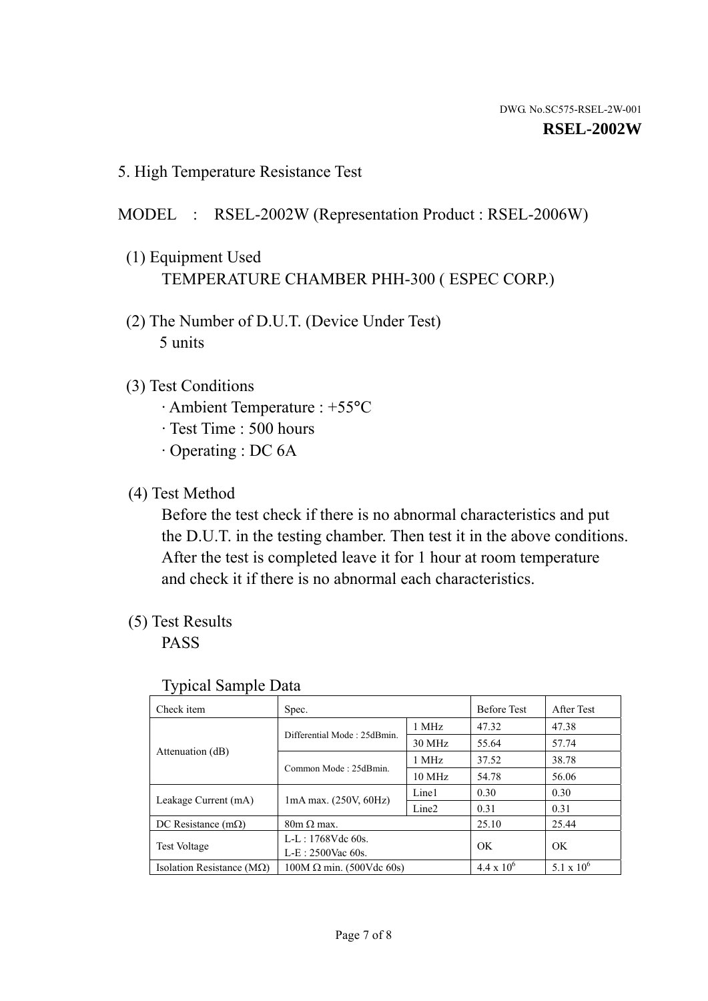5. High Temperature Resistance Test

### MODEL : RSEL-2002W (Representation Product : RSEL-2006W)

- (1) Equipment Used TEMPERATURE CHAMBER PHH-300 ( ESPEC CORP.)
- (2) The Number of D.U.T. (Device Under Test) 5 units
- (3) Test Conditions
	- · Ambient Temperature : +55°C
	- · Test Time : 500 hours
	- · Operating : DC 6A
- (4) Test Method

 Before the test check if there is no abnormal characteristics and put the D.U.T. in the testing chamber. Then test it in the above conditions. After the test is completed leave it for 1 hour at room temperature and check it if there is no abnormal each characteristics.

(5) Test Results

PASS

| ╯┸                                 |                                                         |        |                     |                     |
|------------------------------------|---------------------------------------------------------|--------|---------------------|---------------------|
| Check item                         | Spec.                                                   |        | <b>Before Test</b>  | After Test          |
|                                    | Differential Mode: 25dBmin.                             | 1 MHz  | 47.32               | 47.38               |
|                                    |                                                         | 30 MHz | 55.64               | 57.74               |
| Attenuation (dB)                   | Common Mode: 25dBmin.                                   | 1 MHz  | 37.52               | 38.78               |
|                                    |                                                         | 10 MHz | 54.78               | 56.06               |
| Leakage Current (mA)               | Line1<br>$1mA$ max. $(250V, 60Hz)$<br>Line <sub>2</sub> |        | 0.30                | 0.30                |
|                                    |                                                         |        | 0.31                | 0.31                |
| DC Resistance $(m\Omega)$          | $80m \Omega$ max.                                       |        | 25.10               | 25.44               |
| <b>Test Voltage</b>                | $L-L: 1768Vdc$ 60s.                                     |        | OK                  | OK                  |
|                                    | $L-E: 2500$ Vac 60s.                                    |        |                     |                     |
| Isolation Resistance ( $M\Omega$ ) | $100M \Omega$ min. (500Vdc 60s)                         |        | $4.4 \times 10^{6}$ | $5.1 \times 10^{6}$ |

#### Typical Sample Data